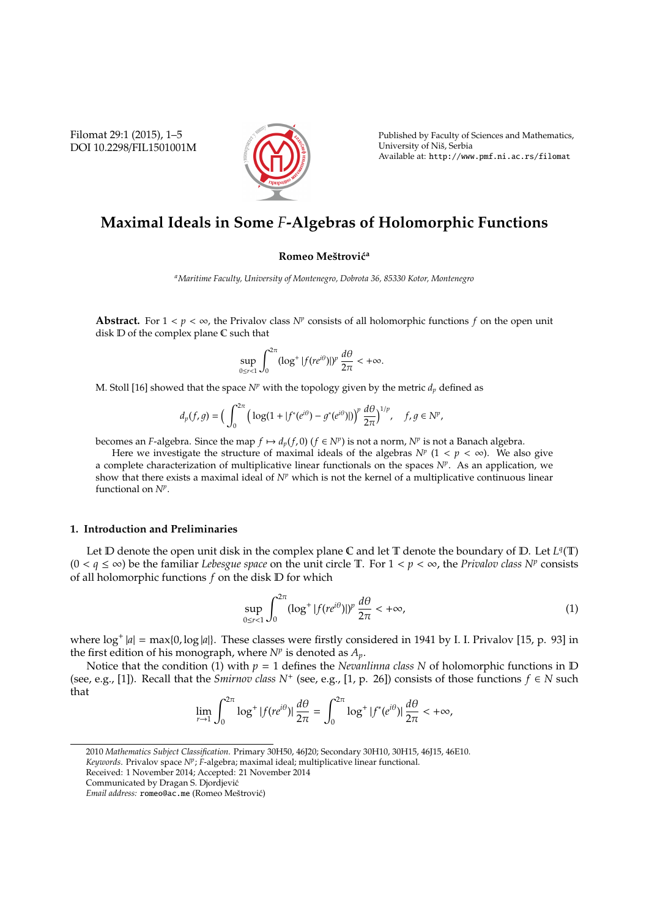Filomat 29:1 (2015), 1–5 DOI 10.2298/FIL1501001M



Published by Faculty of Sciences and Mathematics, University of Niš, Serbia Available at: http://www.pmf.ni.ac.rs/filomat

# **Maximal Ideals in Some** *F***-Algebras of Holomorphic Functions**

#### **Romeo Meštrović<sup>a</sup>**

*<sup>a</sup>Maritime Faculty, University of Montenegro, Dobrota 36, 85330 Kotor, Montenegro*

**Abstract.** For  $1 < p < \infty$ , the Privalov class  $N^p$  consists of all holomorphic functions  $f$  on the open unit disk D of the complex plane C such that

$$
\sup_{0\leq r<1}\int_0^{2\pi}(\log^+|f(re^{i\theta})|)^p\,\frac{d\theta}{2\pi}<+\infty.
$$

M. Stoll [16] showed that the space  $N^p$  with the topology given by the metric  $d_p$  defined as

$$
d_p(f,g)=\Big(\int_0^{2\pi}\Big(\log(1+|f^*(e^{i\theta})-g^*(e^{i\theta})|)\Big)^p\,\frac{d\theta}{2\pi}\Big)^{1/p},\quad f,g\in N^p,
$$

becomes an *F*-algebra. Since the map  $f \mapsto d_p(f, 0)$  ( $f \in N^p$ ) is not a norm,  $N^p$  is not a Banach algebra.

Here we investigate the structure of maximal ideals of the algebras  $N^p$  ( $1 < p < \infty$ ). We also give a complete characterization of multiplicative linear functionals on the spaces *N<sup>p</sup>* . As an application, we show that there exists a maximal ideal of *N<sup>p</sup>* which is not the kernel of a multiplicative continuous linear functional on *N<sup>p</sup>* .

### **1. Introduction and Preliminaries**

Let  $D$  denote the open unit disk in the complex plane  $C$  and let  $T$  denote the boundary of  $D$ . Let  $L^q(T)$ (0 < *q* ≤ ∞) be the familiar *Lebesgue space* on the unit circle T. For 1 < *p* < ∞, the *Privalov class N<sup>p</sup>* consists of all holomorphic functions *f* on the disk D for which

$$
\sup_{0\leq r<1} \int_0^{2\pi} (\log^+ |f(re^{i\theta})|)^p \frac{d\theta}{2\pi} < +\infty,
$$
\n(1)

where  $\log^+|a| = \max\{0, \log|a|\}$ . These classes were firstly considered in 1941 by I. I. Privalov [15, p. 93] in the first edition of his monograph, where  $N^p$  is denoted as  $A_p$ .

Notice that the condition (1) with  $p = 1$  defines the *Nevanlinna class* N of holomorphic functions in  $D$ (see, e.g., [1]). Recall that the *Smirnov class*  $N^+$  (see, e.g., [1, p. 26]) consists of those functions  $f \in N$  such that

$$
\lim_{r\to 1}\int_0^{2\pi}\log^+|f(re^{i\theta})|\,\frac{d\theta}{2\pi}=\int_0^{2\pi}\log^+|f^*(e^{i\theta})|\,\frac{d\theta}{2\pi}<+\infty,
$$

*Keywords*. Privalov space *N<sup>p</sup>* ; *F*-algebra; maximal ideal; multiplicative linear functional.

<sup>2010</sup> *Mathematics Subject Classification*. Primary 30H50, 46J20; Secondary 30H10, 30H15, 46J15, 46E10.

Received: 1 November 2014; Accepted: 21 November 2014

Communicated by Dragan S. Djordjevic´

Email address: romeo@ac.me (Romeo Meštrović)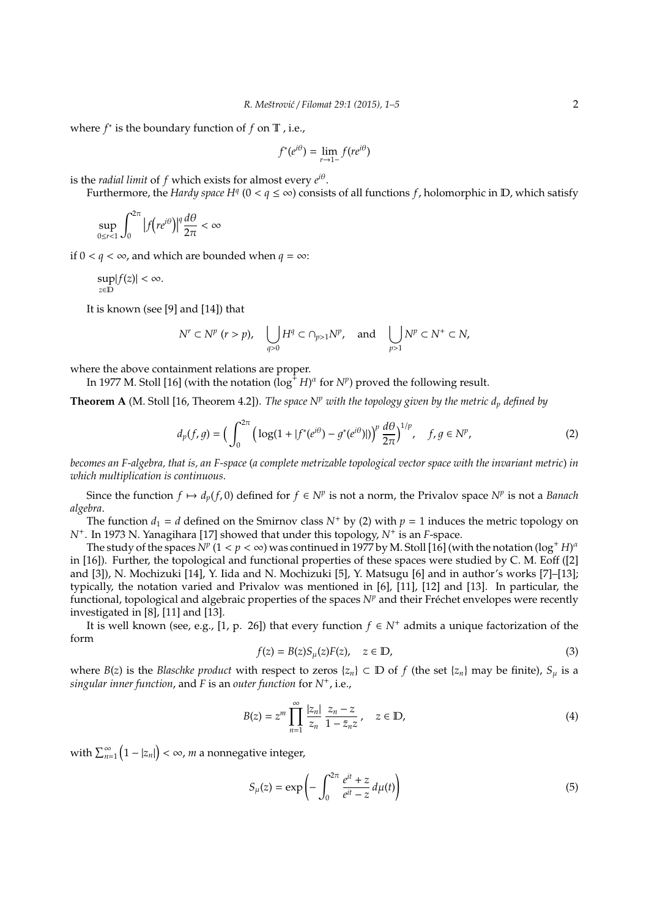where  $f^*$  is the boundary function of  $f$  on  $\mathbb T$ , i.e.,

$$
f^*(e^{i\theta}) = \lim_{r \to 1^-} f(re^{i\theta})
$$

is the *radial limit* of *f* which exists for almost every *e i*θ .

Furthermore, the *Hardy space H<sup>q</sup>* ( $0 < q \leq \infty$ ) consists of all functions *f*, holomorphic in D, which satisfy

$$
\sup_{0\leq r<1}\int_0^{2\pi}\left|f(re^{i\theta})\right|^q\frac{d\theta}{2\pi}<\infty
$$

if  $0 < q < \infty$ , and which are bounded when  $q = \infty$ :

$$
\sup_{z\in\mathbb{D}}|f(z)|<\infty.
$$

It is known (see [9] and [14]) that

$$
N^r \subset N^p \ (r > p), \quad \bigcup_{q > 0} H^q \subset \cap_{p > 1} N^p, \quad \text{and} \quad \bigcup_{p > 1} N^p \subset N^+ \subset N,
$$

where the above containment relations are proper.

In 1977 M. Stoll [16] (with the notation ( $\log^+ H$ ) $^\alpha$  for  $N^p$ ) proved the following result.

**Theorem A** (M. Stoll [16, Theorem 4.2]). *The space N<sup>p</sup> with the topology given by the metric d<sup>p</sup> defined by*

$$
d_p(f,g) = \Big(\int_0^{2\pi} \Big(\log(1+|f^*(e^{i\theta}) - g^*(e^{i\theta})|)\Big)^p \frac{d\theta}{2\pi}\Big)^{1/p}, \quad f, g \in N^p,
$$
 (2)

*becomes an F-algebra, that is, an F-space* (*a complete metrizable topological vector space with the invariant metric*) *in which multiplication is continuous*.

Since the function  $f \mapsto d_p(f, 0)$  defined for  $f \in N^p$  is not a norm, the Privalov space  $N^p$  is not a *Banach algebra*.

The function  $d_1 = d$  defined on the Smirnov class  $N^+$  by (2) with  $p = 1$  induces the metric topology on *N*<sup>+</sup> . In 1973 N. Yanagihara [17] showed that under this topology, *N*<sup>+</sup> is an *F*-space.

The study of the spaces  $N^p$  (1 <  $p < \infty$ ) was continued in 1977 by M. Stoll [16] (with the notation (log<sup>+</sup> *H*)<sup>a</sup> in [16]). Further, the topological and functional properties of these spaces were studied by C. M. Eoff ([2] and [3]), N. Mochizuki [14], Y. Iida and N. Mochizuki [5], Y. Matsugu [6] and in author's works [7]–[13]; typically, the notation varied and Privalov was mentioned in [6], [11], [12] and [13]. In particular, the functional, topological and algebraic properties of the spaces *N<sup>p</sup>* and their Fréchet envelopes were recently investigated in [8], [11] and [13].

It is well known (see, e.g., [1, p. 26]) that every function  $f ∈ N^+$  admits a unique factorization of the form

$$
f(z) = B(z)S_{\mu}(z)F(z), \quad z \in \mathbb{D}, \tag{3}
$$

where *B*(*z*) is the *Blaschke product* with respect to zeros  $\{z_n\} \subset \mathbb{D}$  of *f* (the set  $\{z_n\}$  may be finite),  $S_\mu$  is a *singular inner function*, and *F* is an *outer function* for *N*<sup>+</sup> , i.e.,

$$
B(z) = z^{m} \prod_{n=1}^{\infty} \frac{|z_{n}|}{z_{n}} \frac{z_{n} - z}{1 - \bar{z}_{n} z}, \quad z \in \mathbb{D},
$$
\n(4)

with  $\sum_{n=1}^{\infty} \left( 1 - |z_n| \right) < \infty$ ,  $m$  a nonnegative integer,

$$
S_{\mu}(z) = \exp\left(-\int_0^{2\pi} \frac{e^{it} + z}{e^{it} - z} d\mu(t)\right)
$$
(5)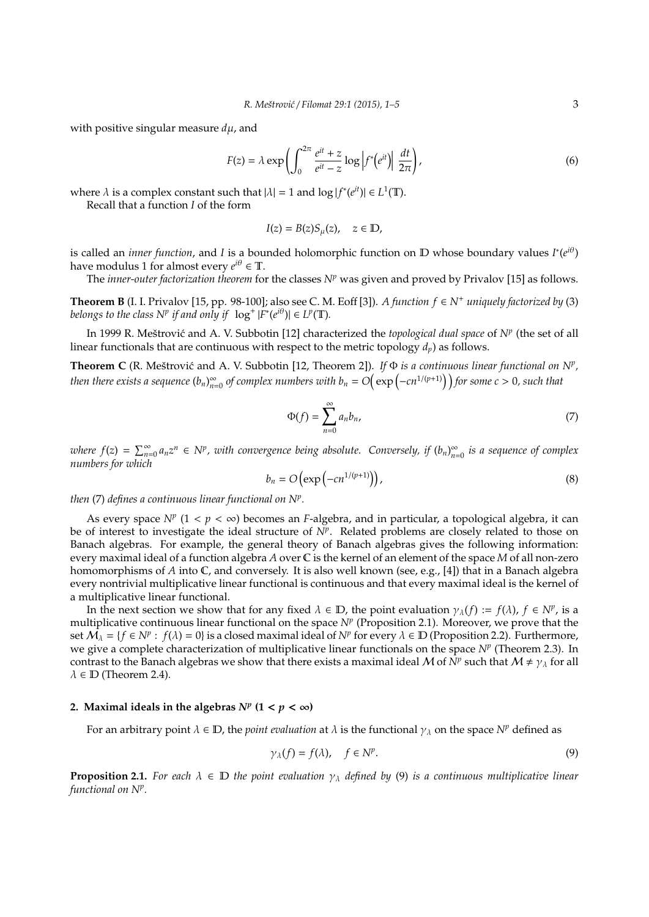with positive singular measure *d*µ, and

$$
F(z) = \lambda \exp\left(\int_0^{2\pi} \frac{e^{it} + z}{e^{it} - z} \log \left| f^*(e^{it}) \right| \frac{dt}{2\pi}\right),\tag{6}
$$

where  $\lambda$  is a complex constant such that  $|\lambda| = 1$  and  $\log |f^*(e^{it})| \in L^1(\mathbb{T})$ .

Recall that a function *I* of the form

$$
I(z) = B(z)S_{\mu}(z), \quad z \in \mathbb{D},
$$

is called an *inner function*, and *I* is a bounded holomorphic function on  $D$  whose boundary values  $I^*(e^{i\theta})$ have modulus 1 for almost every  $e^{i\theta} \in \mathbb{T}$ .

The *inner-outer factorization theorem* for the classes *N<sup>p</sup>* was given and proved by Privalov [15] as follows.

**Theorem B** (I. I. Privalov [15, pp. 98-100]; also see C. M. Eoff [3]). *A function f* ∈ *N*<sup>+</sup> *uniquely factorized by* (3) *belongs to the class*  $N^p$  *if and only if*  $log^+ |F^*(e^{i\theta})| \in L^p(\mathbb{T})$ *.* 

In 1999 R. Meštrović and A. V. Subbotin [12] characterized the *topological dual space* of *N<sup>p</sup>* (the set of all linear functionals that are continuous with respect to the metric topology *dp*) as follows.

**Theorem C** (R. Meštrović and A. V. Subbotin [12, Theorem 2]). If  $\Phi$  *is a continuous linear functional on*  $N^p$ , *then there exists a sequence*  $(b_n)_{n=1}^{\infty}$  $\sum_{n=0}^{\infty}$  *of complex numbers with b*<sub>n</sub> = *O*(exp(-cn<sup>1/(p+1)</sup>)) for some c > 0, such that

$$
\Phi(f) = \sum_{n=0}^{\infty} a_n b_n,\tag{7}
$$

*where*  $f(z) = \sum_{n=0}^{\infty} a_n z^n \in N^p$ , with convergence being absolute. Conversely, if  $(b_n)_{n=0}^{\infty}$ *n*=0 *is a sequence of complex numbers for which*

$$
b_n = O\left(\exp\left(-cn^{1/(p+1)}\right)\right),\tag{8}
$$

*then* (7) *defines a continuous linear functional on N<sup>p</sup> .*

As every space  $N^p$  ( $1 < p < \infty$ ) becomes an *F*-algebra, and in particular, a topological algebra, it can be of interest to investigate the ideal structure of  $N^p$ . Related problems are closely related to those on Banach algebras. For example, the general theory of Banach algebras gives the following information: every maximal ideal of a function algebra *A* over C is the kernel of an element of the space *M* of all non-zero homomorphisms of *A* into C, and conversely. It is also well known (see, e.g., [4]) that in a Banach algebra every nontrivial multiplicative linear functional is continuous and that every maximal ideal is the kernel of a multiplicative linear functional.

In the next section we show that for any fixed  $\lambda \in \mathbb{D}$ , the point evaluation  $\gamma_\lambda(f) := f(\lambda)$ ,  $f \in N^p$ , is a multiplicative continuous linear functional on the space *N<sup>p</sup>* (Proposition 2.1). Moreover, we prove that the set  $\mathcal{M}_\lambda = \{f \in N^p : f(\lambda) = 0\}$  is a closed maximal ideal of  $N^p$  for every  $\lambda \in \mathbb{D}$  (Proposition 2.2). Furthermore, we give a complete characterization of multiplicative linear functionals on the space *N<sup>p</sup>* (Theorem 2.3). In contrast to the Banach algebras we show that there exists a maximal ideal M of  $\tilde{N}^p$  such that  $M \neq \gamma_\Lambda$  for all  $\lambda \in \mathbb{D}$  (Theorem 2.4).

## 2. Maximal ideals in the algebras  $N^p$  (1 <  $p < \infty$ )

For an arbitrary point  $\lambda \in \mathbb{D}$ , the *point evaluation* at  $\lambda$  is the functional  $\gamma_\lambda$  on the space  $N^p$  defined as

$$
\gamma_{\lambda}(f) = f(\lambda), \quad f \in \mathbb{N}^p. \tag{9}
$$

**Proposition 2.1.** *For each*  $\lambda \in \mathbb{D}$  *the point evaluation*  $\gamma_{\lambda}$  *defined by* (9) *is a continuous multiplicative linear functional on N<sup>p</sup> .*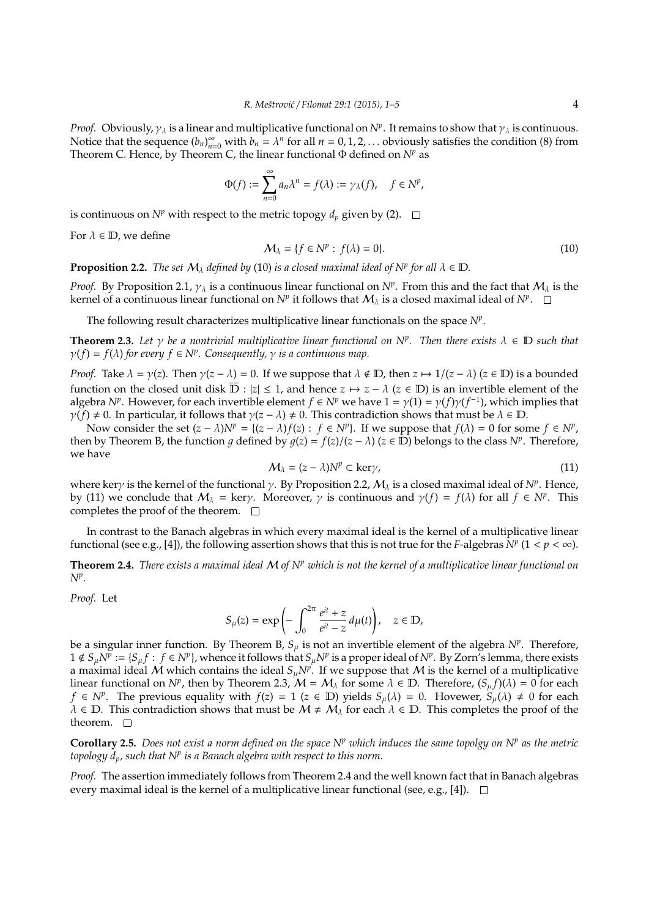*Proof.* Obviously,  $\gamma_\lambda$  is a linear and multiplicative functional on  $N^p$ . It remains to show that  $\gamma_\lambda$  is continuous. Notice that the sequence  $(b_n)_{n=0}^{\infty}$  with  $b_n = \lambda^n$  for all  $n = 0, 1, 2, ...$  obviously satisfies the condition (8) from Theorem C. Hence, by Theorem C, the linear functional Φ defined on *N<sup>p</sup>* as

$$
\Phi(f) := \sum_{n=0}^{\infty} a_n \lambda^n = f(\lambda) := \gamma_{\lambda}(f), \quad f \in N^p,
$$

is continuous on  $N^p$  with respect to the metric topogy  $d_p$  given by (2).  $\Box$ 

For  $\lambda \in \mathbb{D}$ , we define

$$
\mathcal{M}_{\lambda} = \{ f \in \mathbb{N}^p : f(\lambda) = 0 \}. \tag{10}
$$

**Proposition 2.2.** *The set*  $M_\lambda$  *defined by* (10) *is a closed maximal ideal of*  $N^p$  *for all*  $\lambda \in \mathbb{D}$ *.* 

*Proof.* By Proposition 2.1,  $\gamma_{\lambda}$  is a continuous linear functional on  $N^p$ . From this and the fact that  $M_{\lambda}$  is the kernel of a continuous linear functional on  $N^p$  it follows that  $\mathcal{M}_\lambda$  is a closed maximal ideal of  $N^p$ .

The following result characterizes multiplicative linear functionals on the space *N<sup>p</sup>* .

**Theorem 2.3.** Let  $\gamma$  be a nontrivial multiplicative linear functional on N<sup>p</sup>. Then there exists  $\lambda \in \mathbb{D}$  such that  $\gamma(f) = f(\lambda)$  *for every*  $f \in N^p$ . Consequently,  $\gamma$  *is a continuous map.* 

*Proof.* Take  $\lambda = \gamma(z)$ . Then  $\gamma(z - \lambda) = 0$ . If we suppose that  $\lambda \notin \mathbb{D}$ , then  $z \mapsto 1/(z - \lambda)$  ( $z \in \mathbb{D}$ ) is a bounded function on the closed unit disk  $\overline{D}$  :  $|z| \le 1$ , and hence  $z \mapsto z - \lambda$  ( $z \in D$ ) is an invertible element of the algebra *N<sup>p</sup>*. However, for each invertible element  $f \in N^p$  we have  $1 = \gamma(1) = \gamma(f)\gamma(f^{-1})$ , which implies that  $\gamma(f) \neq 0$ . In particular, it follows that  $\gamma(z - \lambda) \neq 0$ . This contradiction shows that must be  $\lambda \in \mathbb{D}$ .

Now consider the set  $(z - \lambda)N^p = \{(z - \lambda)f(z) : f \in N^p\}$ . If we suppose that  $f(\lambda) = 0$  for some  $f \in N^p$ , then by Theorem B, the function  $g$  defined by  $g(z) = f(z)/(z - \lambda)$  ( $z \in \mathbb{D}$ ) belongs to the class  $N^p$ . Therefore, we have

$$
\mathcal{M}_{\lambda} = (z - \lambda) N^{p} \subset \text{ker}\gamma,
$$
\n(11)

where kery is the kernel of the functional  $\gamma$ . By Proposition 2.2,  $M_{\lambda}$  is a closed maximal ideal of  $N^p$ . Hence, by (11) we conclude that  $M_\lambda$  = kery. Moreover,  $\gamma$  is continuous and  $\gamma(f) = f(\lambda)$  for all  $f \in N^p$ . This completes the proof of the theorem.  $\Box$ 

In contrast to the Banach algebras in which every maximal ideal is the kernel of a multiplicative linear functional (see e.g., [4]), the following assertion shows that this is not true for the *F*-algebras  $\tilde{N}^p$  (1 <  $p < \infty$ ).

**Theorem 2.4.** *There exists a maximal ideal* M *of N<sup>p</sup> which is not the kernel of a multiplicative linear functional on N<sup>p</sup> .*

*Proof.* Let

$$
S_{\mu}(z) = \exp\left(-\int_0^{2\pi} \frac{e^{it} + z}{e^{it} - z} \, d\mu(t)\right), \quad z \in \mathbb{D},
$$

be a singular inner function. By Theorem B,  $S_\mu$  is not an invertible element of the algebra  $N^p$ . Therefore, 1 ∉  $S_\mu N^{\bar{p}} := \{S_\mu f : f \in N^p\}$ , whence it follows that  $S_\mu N^p$  is a proper ideal of  $N^p$ . By Zorn's lemma, there exists a maximal ideal  $\dot{M}$  which contains the ideal  $S_{\mu}N^{p}$ . If we suppose that  $M$  is the kernel of a multiplicative linear functional on  $N^p$ , then by Theorem 2.3,  $\mathcal{M} = \mathcal{M}_\lambda$  for some  $\lambda \in \mathbb{D}$ . Therefore,  $(S_\mu f)(\lambda) = 0$  for each *f* ∈ *N<sup>p</sup>*. The previous equality with *f*(*z*) = 1 (*z* ∈ **D**) yields *S*<sub>µ</sub>( $\lambda$ ) = 0. Hovewer, *S*<sub>µ</sub>( $\lambda$ ) ≠ 0 for each  $\lambda \in \mathbb{D}$ . This contradiction shows that must be  $\mathcal{M} \neq \mathcal{M}_{\lambda}$  for each  $\lambda \in \mathbb{D}$ . This completes the proof of the theorem.  $\square$ 

**Corollary 2.5.** *Does not exist a norm defined on the space N<sup>p</sup> which induces the same topolgy on N<sup>p</sup> as the metric topology dp, such that N<sup>p</sup> is a Banach algebra with respect to this norm.*

*Proof.* The assertion immediately follows from Theorem 2.4 and the well known fact that in Banach algebras every maximal ideal is the kernel of a multiplicative linear functional (see, e.g., [4]).  $\Box$